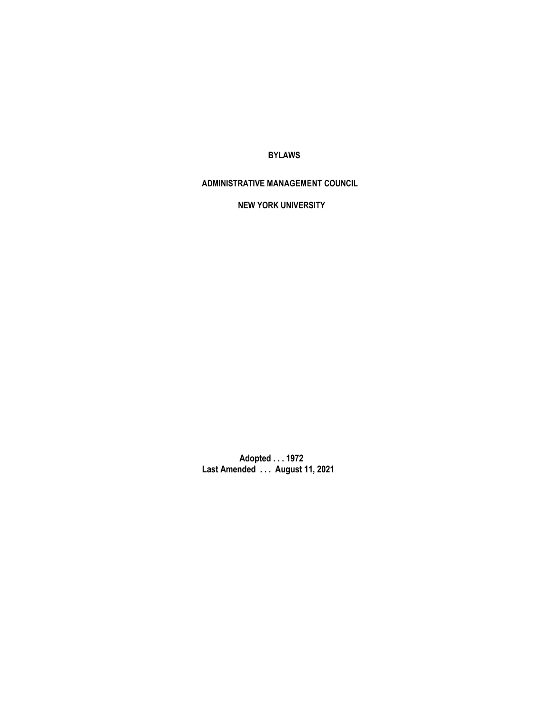**BYLAWS** 

**ADMINISTRATIVE MANAGEMENT COUNCIL**

**NEW YORK UNIVERSITY**

**Adopted . . . 1972 Last Amended . . . August 11, 2021**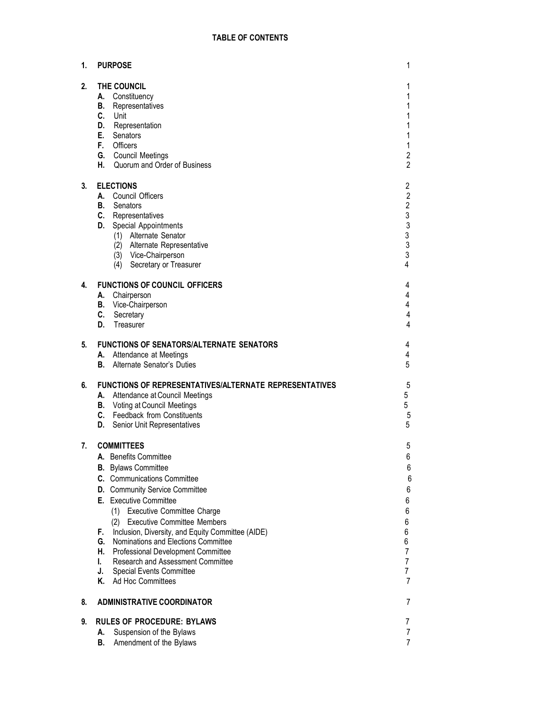| 1. | <b>PURPOSE</b>                                                                                                                                                                                                                                                                                                                                                                                                                                                                                                                                |                                                                                                              |
|----|-----------------------------------------------------------------------------------------------------------------------------------------------------------------------------------------------------------------------------------------------------------------------------------------------------------------------------------------------------------------------------------------------------------------------------------------------------------------------------------------------------------------------------------------------|--------------------------------------------------------------------------------------------------------------|
| 2. | THE COUNCIL<br>Constituency<br>А.<br>Representatives<br>В.<br>C.<br>Unit<br>Representation<br>D.<br>Е.<br>Senators<br>F.<br>Officers<br>G. Council Meetings<br>Н.<br>Quorum and Order of Business                                                                                                                                                                                                                                                                                                                                             | 1<br>1<br>1<br>1<br>1<br>1<br>$\overline{\mathbf{c}}$<br>$\overline{2}$                                      |
| 3. | <b>ELECTIONS</b><br><b>Council Officers</b><br>А.<br>В.<br>Senators<br>C.<br>Representatives<br>D.<br>Special Appointments<br>(1) Alternate Senator<br>(2) Alternate Representative<br>(3) Vice-Chairperson<br>Secretary or Treasurer<br>(4)                                                                                                                                                                                                                                                                                                  | $\overline{c}$<br>$\overline{2}$<br>$\overline{c}$<br>$\begin{array}{c}\n3 \\ 3 \\ 3 \\ 3\n\end{array}$<br>4 |
| 4. | <b>FUNCTIONS OF COUNCIL OFFICERS</b><br>Chairperson<br>А.<br>В.<br>Vice-Chairperson<br>C.<br>Secretary<br>Treasurer<br>D.                                                                                                                                                                                                                                                                                                                                                                                                                     | 4<br>4<br>4<br>4<br>4                                                                                        |
| 5. | <b>FUNCTIONS OF SENATORS/ALTERNATE SENATORS</b><br>A. Attendance at Meetings<br>В.<br>Alternate Senator's Duties                                                                                                                                                                                                                                                                                                                                                                                                                              | 4<br>4<br>5                                                                                                  |
| 6. | <b>FUNCTIONS OF REPRESENTATIVES/ALTERNATE REPRESENTATIVES</b><br>Attendance at Council Meetings<br>А.<br>Voting at Council Meetings<br>В.<br>C. Feedback from Constituents<br>D.<br>Senior Unit Representatives                                                                                                                                                                                                                                                                                                                               | 5<br>5<br>5<br>$\sqrt{5}$<br>5                                                                               |
| 7. | <b>COMMITTEES</b><br>A. Benefits Committee<br><b>B.</b> Bylaws Committee<br><b>C.</b> Communications Committee<br>D. Community Service Committee<br>E. Executive Committee<br><b>Executive Committee Charge</b><br>(1)<br><b>Executive Committee Members</b><br>(2)<br>Inclusion, Diversity, and Equity Committee (AIDE)<br>F.<br>G.<br>Nominations and Elections Committee<br>Н.<br>Professional Development Committee<br><b>Research and Assessment Committee</b><br>I.<br>J.<br><b>Special Events Committee</b><br>K.<br>Ad Hoc Committees | 5<br>6<br>6<br>6<br>6<br>6<br>6<br>6<br>6<br>6<br>$\overline{7}$<br>7<br>7<br>7                              |
| 8. | <b>ADMINISTRATIVE COORDINATOR</b><br>7                                                                                                                                                                                                                                                                                                                                                                                                                                                                                                        |                                                                                                              |
| 9. | <b>RULES OF PROCEDURE: BYLAWS</b><br>Suspension of the Bylaws<br>А.<br>В.<br>Amendment of the Bylaws                                                                                                                                                                                                                                                                                                                                                                                                                                          | 7<br>7<br>7                                                                                                  |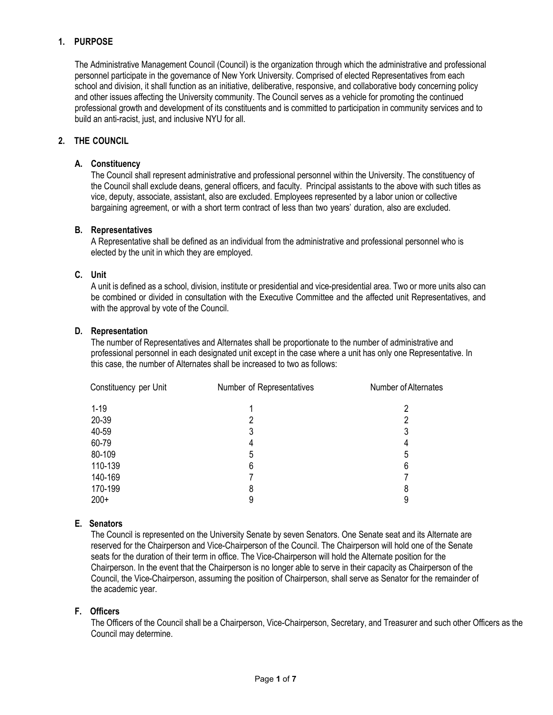# <span id="page-2-0"></span>**1. PURPOSE**

The Administrative Management Council (Council) is the organization through which the administrative and professional personnel participate in the governance of New York University. Comprised of elected Representatives from each school and division, it shall function as an initiative, deliberative, responsive, and collaborative body concerning policy and other issues affecting the University community. The Council serves as a vehicle for promoting the continued professional growth and development of its constituents and is committed to participation in community services and to build an anti-racist, just, and inclusive NYU for all.

# <span id="page-2-2"></span><span id="page-2-1"></span>**2. THE COUNCIL**

#### **A. Constituency**

The Council shall represent administrative and professional personnel within the University. The constituency of the Council shall exclude deans, general officers, and faculty. Principal assistants to the above with such titles as vice, deputy, associate, assistant, also are excluded. Employees represented by a labor union or collective bargaining agreement, or with a short term contract of less than two years' duration, also are excluded.

#### <span id="page-2-3"></span>**B. Representatives**

A Representative shall be defined as an individual from the administrative and professional personnel who is elected by the unit in which they are employed.

#### <span id="page-2-4"></span>**C. Unit**

A unit is defined as a school, division, institute or presidential and vice-presidential area. Two or more units also can be combined or divided in consultation with the Executive Committee and the affected unit Representatives, and with the approval by vote of the Council.

#### <span id="page-2-5"></span>**D. Representation**

The number of Representatives and Alternates shall be proportionate to the number of administrative and professional personnel in each designated unit except in the case where a unit has only one Representative. In this case, the number of Alternates shall be increased to two as follows:

| Constituency per Unit | Number of Representatives | Number of Alternates |
|-----------------------|---------------------------|----------------------|
| $1 - 19$              |                           | 2                    |
| 20-39                 |                           | 2                    |
| 40-59                 |                           | 3                    |
| 60-79                 |                           | 4                    |
| 80-109                | 5                         | 5                    |
| 110-139               | 6                         | 6                    |
| 140-169               |                           |                      |
| 170-199               | 8                         | 8                    |
| $200+$                | 9                         | 9                    |

### <span id="page-2-6"></span>**E. Senators**

The Council is represented on the University Senate by seven Senators. One Senate seat and its Alternate are reserved for the Chairperson and Vice-Chairperson of the Council. The Chairperson will hold one of the Senate seats for the duration of their term in office. The Vice-Chairperson will hold the Alternate position for the Chairperson. In the event that the Chairperson is no longer able to serve in their capacity as Chairperson of the Council, the Vice-Chairperson, assuming the position of Chairperson, shall serve as Senator for the remainder of the academic year.

### <span id="page-2-7"></span>**F. Officers**

The Officers of the Council shall be a Chairperson, Vice-Chairperson, Secretary, and Treasurer and such other Officers as the Council may determine.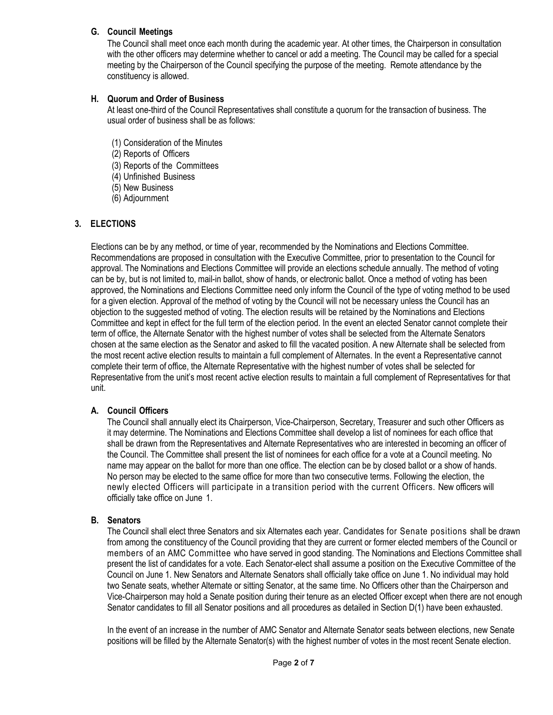# <span id="page-3-0"></span>**G. Council Meetings**

The Council shall meet once each month during the academic year. At other times, the Chairperson in consultation with the other officers may determine whether to cancel or add a meeting. The Council may be called for a special meeting by the Chairperson of the Council specifying the purpose of the meeting. Remote attendance by the constituency is allowed.

# <span id="page-3-1"></span>**H. Quorum and Order of Business**

At least one-third of the Council Representatives shall constitute a quorum for the transaction of business. The usual order of business shall be as follows:

- (1) Consideration of the Minutes
- (2) Reports of Officers
- (3) Reports of the Committees
- (4) Unfinished Business
- (5) New Business
- (6) Adjournment

# <span id="page-3-2"></span>**3. ELECTIONS**

Elections can be by any method, or time of year, recommended by the Nominations and Elections Committee. Recommendations are proposed in consultation with the Executive Committee, prior to presentation to the Council for approval. The Nominations and Elections Committee will provide an elections schedule annually. The method of voting can be by, but is not limited to, mail-in ballot, show of hands, or electronic ballot. Once a method of voting has been approved, the Nominations and Elections Committee need only inform the Council of the type of voting method to be used for a given election. Approval of the method of voting by the Council will not be necessary unless the Council has an objection to the suggested method of voting. The election results will be retained by the Nominations and Elections Committee and kept in effect for the full term of the election period. In the event an elected Senator cannot complete their term of office, the Alternate Senator with the highest number of votes shall be selected from the Alternate Senators chosen at the same election as the Senator and asked to fill the vacated position. A new Alternate shall be selected from the most recent active election results to maintain a full complement of Alternates. In the event a Representative cannot complete their term of office, the Alternate Representative with the highest number of votes shall be selected for Representative from the unit's most recent active election results to maintain a full complement of Representatives for that unit.

### <span id="page-3-3"></span>**A. Council Officers**

The Council shall annually elect its Chairperson, Vice-Chairperson, Secretary, Treasurer and such other Officers as it may determine. The Nominations and Elections Committee shall develop a list of nominees for each office that shall be drawn from the Representatives and Alternate Representatives who are interested in becoming an officer of the Council. The Committee shall present the list of nominees for each office for a vote at a Council meeting. No name may appear on the ballot for more than one office. The election can be by closed ballot or a show of hands. No person may be elected to the same office for more than two consecutive terms. Following the election, the newly elected Officers will participate in a transition period with the current Officers. New officers will officially take office on June 1.

### <span id="page-3-4"></span>**B. Senators**

The Council shall elect three Senators and six Alternates each year. Candidates for Senate positions shall be drawn from among the constituency of the Council providing that they are current or former elected members of the Council or members of an AMC Committee who have served in good standing. The Nominations and Elections Committee shall present the list of candidates for a vote. Each Senator-elect shall assume a position on the Executive Committee of the Council on June 1. New Senators and Alternate Senators shall officially take office on June 1. No individual may hold two Senate seats, whether Alternate or sitting Senator, at the same time. No Officers other than the Chairperson and Vice-Chairperson may hold a Senate position during their tenure as an elected Officer except when there are not enough Senator candidates to fill all Senator positions and all procedures as detailed in Section D(1) have been exhausted.

In the event of an increase in the number of AMC Senator and Alternate Senator seats between elections, new Senate positions will be filled by the Alternate Senator(s) with the highest number of votes in the most recent Senate election.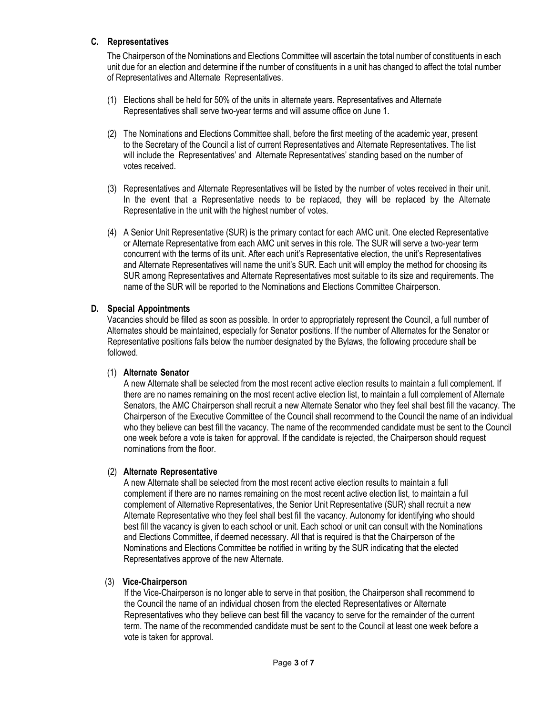# <span id="page-4-0"></span>**C. Representatives**

The Chairperson of the Nominations and Elections Committee will ascertain the total number of constituents in each unit due for an election and determine if the number of constituents in a unit has changed to affect the total number of Representatives and Alternate Representatives.

- (1) Elections shall be held for 50% of the units in alternate years. Representatives and Alternate Representatives shall serve two-year terms and will assume office on June 1.
- (2) The Nominations and Elections Committee shall, before the first meeting of the academic year, present to the Secretary of the Council a list of current Representatives and Alternate Representatives. The list will include the Representatives' and Alternate Representatives' standing based on the number of votes received.
- (3) Representatives and Alternate Representatives will be listed by the number of votes received in their unit. In the event that a Representative needs to be replaced, they will be replaced by the Alternate Representative in the unit with the highest number of votes.
- (4) A Senior Unit Representative (SUR) is the primary contact for each AMC unit. One elected Representative or Alternate Representative from each AMC unit serves in this role. The SUR will serve a two-year term concurrent with the terms of its unit. After each unit's Representative election, the unit's Representatives and Alternate Representatives will name the unit's SUR. Each unit will employ the method for choosing its SUR among Representatives and Alternate Representatives most suitable to its size and requirements. The name of the SUR will be reported to the Nominations and Elections Committee Chairperson.

### <span id="page-4-1"></span>**D. Special Appointments**

Vacancies should be filled as soon as possible. In order to appropriately represent the Council, a full number of Alternates should be maintained, especially for Senator positions. If the number of Alternates for the Senator or Representative positions falls below the number designated by the Bylaws, the following procedure shall be followed.

# <span id="page-4-2"></span>(1) **Alternate Senator**

A new Alternate shall be selected from the most recent active election results to maintain a full complement. If there are no names remaining on the most recent active election list, to maintain a full complement of Alternate Senators, the AMC Chairperson shall recruit a new Alternate Senator who they feel shall best fill the vacancy. The Chairperson of the Executive Committee of the Council shall recommend to the Council the name of an individual who they believe can best fill the vacancy. The name of the recommended candidate must be sent to the Council one week before a vote is taken for approval. If the candidate is rejected, the Chairperson should request nominations from the floor.

### <span id="page-4-3"></span>(2) **Alternate Representative**

A new Alternate shall be selected from the most recent active election results to maintain a full complement if there are no names remaining on the most recent active election list, to maintain a full complement of Alternative Representatives, the Senior Unit Representative (SUR) shall recruit a new Alternate Representative who they feel shall best fill the vacancy. Autonomy for identifying who should best fill the vacancy is given to each school or unit. Each school or unit can consult with the Nominations and Elections Committee, if deemed necessary. All that is required is that the Chairperson of the Nominations and Elections Committee be notified in writing by the SUR indicating that the elected Representatives approve of the new Alternate.

# <span id="page-4-4"></span>(3) **Vice-Chairperson**

If the Vice-Chairperson is no longer able to serve in that position, the Chairperson shall recommend to the Council the name of an individual chosen from the elected Representatives or Alternate Representatives who they believe can best fill the vacancy to serve for the remainder of the current term. The name of the recommended candidate must be sent to the Council at least one week before a vote is taken for approval.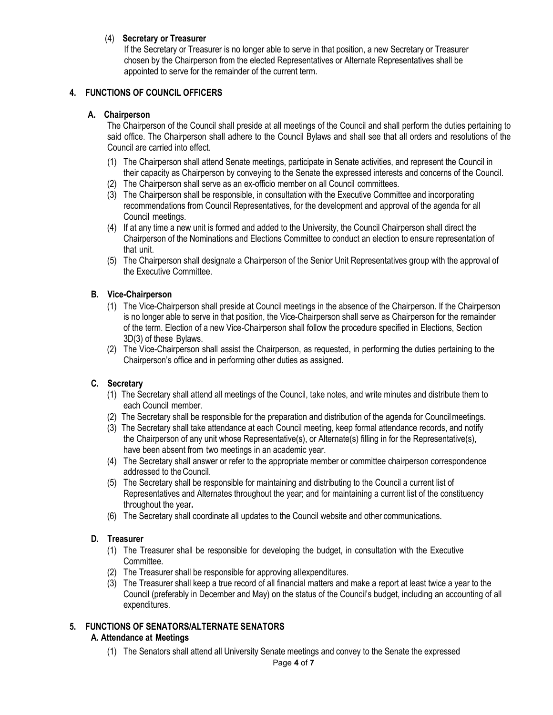# <span id="page-5-0"></span>(4) **Secretary or Treasurer**

If the Secretary or Treasurer is no longer able to serve in that position, a new Secretary or Treasurer chosen by the Chairperson from the elected Representatives or Alternate Representatives shall be appointed to serve for the remainder of the current term.

# <span id="page-5-2"></span><span id="page-5-1"></span>**4. FUNCTIONS OF COUNCIL OFFICERS**

#### **A. Chairperson**

The Chairperson of the Council shall preside at all meetings of the Council and shall perform the duties pertaining to said office. The Chairperson shall adhere to the Council Bylaws and shall see that all orders and resolutions of the Council are carried into effect.

- (1) The Chairperson shall attend Senate meetings, participate in Senate activities, and represent the Council in their capacity as Chairperson by conveying to the Senate the expressed interests and concerns of the Council.
- (2) The Chairperson shall serve as an ex-officio member on all Council committees.
- (3) The Chairperson shall be responsible, in consultation with the Executive Committee and incorporating recommendations from Council Representatives, for the development and approval of the agenda for all Council meetings.
- (4) If at any time a new unit is formed and added to the University, the Council Chairperson shall direct the Chairperson of the Nominations and Elections Committee to conduct an election to ensure representation of that unit.
- (5) The Chairperson shall designate a Chairperson of the Senior Unit Representatives group with the approval of the Executive Committee.

# <span id="page-5-3"></span>**B. Vice-Chairperson**

- (1) The Vice-Chairperson shall preside at Council meetings in the absence of the Chairperson. If the Chairperson is no longer able to serve in that position, the Vice-Chairperson shall serve as Chairperson for the remainder of the term. Election of a new Vice-Chairperson shall follow the procedure specified in Elections, Section 3D(3) of these Bylaws.
- (2) The Vice-Chairperson shall assist the Chairperson, as requested, in performing the duties pertaining to the Chairperson's office and in performing other duties as assigned.

### <span id="page-5-4"></span>**C. Secretary**

- (1) The Secretary shall attend all meetings of the Council, take notes, and write minutes and distribute them to each Council member.
- (2) The Secretary shall be responsible for the preparation and distribution of the agenda for Councilmeetings.
- (3) The Secretary shall take attendance at each Council meeting, keep formal attendance records, and notify the Chairperson of any unit whose Representative(s), or Alternate(s) filling in for the Representative(s), have been absent from two meetings in an academic year.
- (4) The Secretary shall answer or refer to the appropriate member or committee chairperson correspondence addressed to theCouncil.
- (5) The Secretary shall be responsible for maintaining and distributing to the Council a current list of Representatives and Alternates throughout the year; and for maintaining a current list of the constituency throughout the year**.**
- (6) The Secretary shall coordinate all updates to the Council website and other communications.

### <span id="page-5-5"></span>**D. Treasurer**

- (1) The Treasurer shall be responsible for developing the budget, in consultation with the Executive Committee.
- (2) The Treasurer shall be responsible for approving allexpenditures.
- (3) The Treasurer shall keep a true record of all financial matters and make a report at least twice a year to the Council (preferably in December and May) on the status of the Council's budget, including an accounting of all expenditures.

# **5. FUNCTIONS OF SENATORS/ALTERNATE SENATORS**

# **A. Attendance at Meetings**

(1) The Senators shall attend all University Senate meetings and convey to the Senate the expressed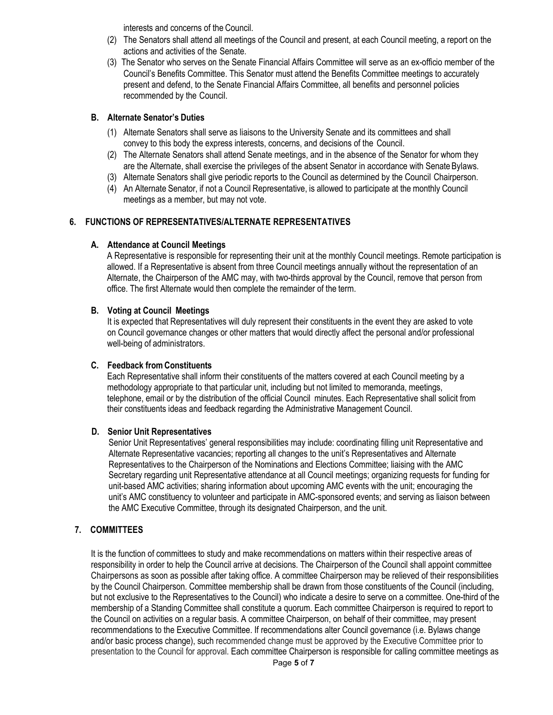interests and concerns of the Council.

- (2) The Senators shall attend all meetings of the Council and present, at each Council meeting, a report on the actions and activities of the Senate.
- (3) The Senator who serves on the Senate Financial Affairs Committee will serve as an ex-officio member of the Council's Benefits Committee. This Senator must attend the Benefits Committee meetings to accurately present and defend, to the Senate Financial Affairs Committee, all benefits and personnel policies recommended by the Council.

### <span id="page-6-0"></span>**B. Alternate Senator's Duties**

- (1) Alternate Senators shall serve as liaisons to the University Senate and its committees and shall convey to this body the express interests, concerns, and decisions of the Council.
- (2) The Alternate Senators shall attend Senate meetings, and in the absence of the Senator for whom they are the Alternate, shall exercise the privileges of the absent Senator in accordance with SenateBylaws.
- (3) Alternate Senators shall give periodic reports to the Council as determined by the Council Chairperson.
- (4) An Alternate Senator, if not a Council Representative, is allowed to participate at the monthly Council meetings as a member, but may not vote.

### <span id="page-6-2"></span><span id="page-6-1"></span>**6. FUNCTIONS OF REPRESENTATIVES/ALTERNATE REPRESENTATIVES**

#### **A. Attendance at Council Meetings**

A Representative is responsible for representing their unit at the monthly Council meetings. Remote participation is allowed. If a Representative is absent from three Council meetings annually without the representation of an Alternate, the Chairperson of the AMC may, with two-thirds approval by the Council, remove that person from office. The first Alternate would then complete the remainder of the term.

#### <span id="page-6-3"></span>**B. Voting at Council Meetings**

It is expected that Representatives will duly represent their constituents in the event they are asked to vote on Council governance changes or other matters that would directly affect the personal and/or professional well-being of administrators.

#### <span id="page-6-4"></span>**C. Feedback from Constituents**

Each Representative shall inform their constituents of the matters covered at each Council meeting by a methodology appropriate to that particular unit, including but not limited to memoranda, meetings, telephone, email or by the distribution of the official Council minutes. Each Representative shall solicit from their constituents ideas and feedback regarding the Administrative Management Council.

#### <span id="page-6-5"></span>**D. Senior Unit Representatives**

Senior Unit Representatives' general responsibilities may include: coordinating filling unit Representative and Alternate Representative vacancies; reporting all changes to the unit's Representatives and Alternate Representatives to the Chairperson of the Nominations and Elections Committee; liaising with the AMC Secretary regarding unit Representative attendance at all Council meetings; organizing requests for funding for unit-based AMC activities; sharing information about upcoming AMC events with the unit; encouraging the unit's AMC constituency to volunteer and participate in AMC-sponsored events; and serving as liaison between the AMC Executive Committee, through its designated Chairperson, and the unit.

### <span id="page-6-6"></span>**7. COMMITTEES**

It is the function of committees to study and make recommendations on matters within their respective areas of responsibility in order to help the Council arrive at decisions. The Chairperson of the Council shall appoint committee Chairpersons as soon as possible after taking office. A committee Chairperson may be relieved of their responsibilities by the Council Chairperson. Committee membership shall be drawn from those constituents of the Council (including, but not exclusive to the Representatives to the Council) who indicate a desire to serve on a committee. One-third of the membership of a Standing Committee shall constitute a quorum. Each committee Chairperson is required to report to the Council on activities on a regular basis. A committee Chairperson, on behalf of their committee, may present recommendations to the Executive Committee. If recommendations alter Council governance (i.e. Bylaws change and/or basic process change), such recommended change must be approved by the Executive Committee prior to presentation to the Council for approval. Each committee Chairperson is responsible for calling committee meetings as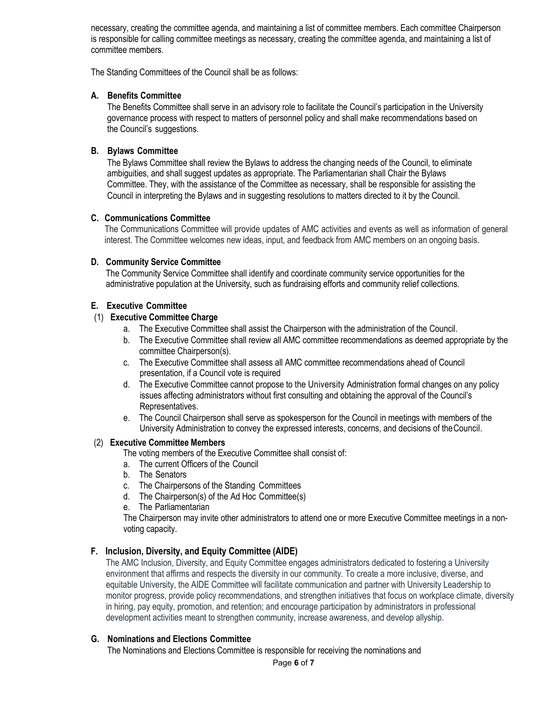necessary, creating the committee agenda, and maintaining a list of committee members. Each committee Chairperson is responsible for calling committee meetings as necessary, creating the committee agenda, and maintaining a list of committee members.

The Standing Committees of the Council shall be as follows:

### **A. Benefits Committee**

The Benefits Committee shall serve in an advisory role to facilitate the Council's participation in the University governance process with respect to matters of personnel policy and shall make recommendations based on the Council's suggestions.

#### **B. Bylaws Committee**

The Bylaws Committee shall review the Bylaws to address the changing needs of the Council, to eliminate ambiguities, and shall suggest updates as appropriate. The Parliamentarian shall Chair the Bylaws Committee. They, with the assistance of the Committee as necessary, shall be responsible for assisting the Council in interpreting the Bylaws and in suggesting resolutions to matters directed to it by the Council.

#### **C. Communications Committee**

The Communications Committee will provide updates of AMC activities and events as well as information of general interest. The Committee welcomes new ideas, input, and feedback from AMC members on an ongoing basis.

#### **D. Community Service Committee**

The Community Service Committee shall identify and coordinate community service opportunities for the administrative population at the University, such as fundraising efforts and community relief collections.

### **E. Executive Committee**

# (1) **Executive Committee Charge**

- a. The Executive Committee shall assist the Chairperson with the administration of the Council.
- b. The Executive Committee shall review all AMC committee recommendations as deemed appropriate by the committee Chairperson(s).
- c. The Executive Committee shall assess all AMC committee recommendations ahead of Council presentation, if a Council vote is required
- d. The Executive Committee cannot propose to the University Administration formal changes on any policy issues affecting administrators without first consulting and obtaining the approval of the Council's Representatives.
- e. The Council Chairperson shall serve as spokesperson for the Council in meetings with members of the University Administration to convey the expressed interests, concerns, and decisions of theCouncil.

#### (2) **Executive Committee Members**

The voting members of the Executive Committee shall consist of:

- a. The current Officers of the Council
- b. The Senators
- c. The Chairpersons of the Standing Committees
- d. The Chairperson(s) of the Ad Hoc Committee(s)
- e. The Parliamentarian

The Chairperson may invite other administrators to attend one or more Executive Committee meetings in a nonvoting capacity.

### **F. Inclusion, Diversity, and Equity Committee (AIDE)**

The AMC Inclusion, Diversity, and Equity Committee engages administrators dedicated to fostering a University environment that affirms and respects the diversity in our community. To create a more inclusive, diverse, and equitable University, the AIDE Committee will facilitate communication and partner with University Leadership to monitor progress, provide policy recommendations, and strengthen initiatives that focus on workplace climate, diversity in hiring, pay equity, promotion, and retention; and encourage participation by administrators in professional development activities meant to strengthen community, increase awareness, and develop allyship.

### **G. Nominations and Elections Committee**

The Nominations and Elections Committee is responsible for receiving the nominations and